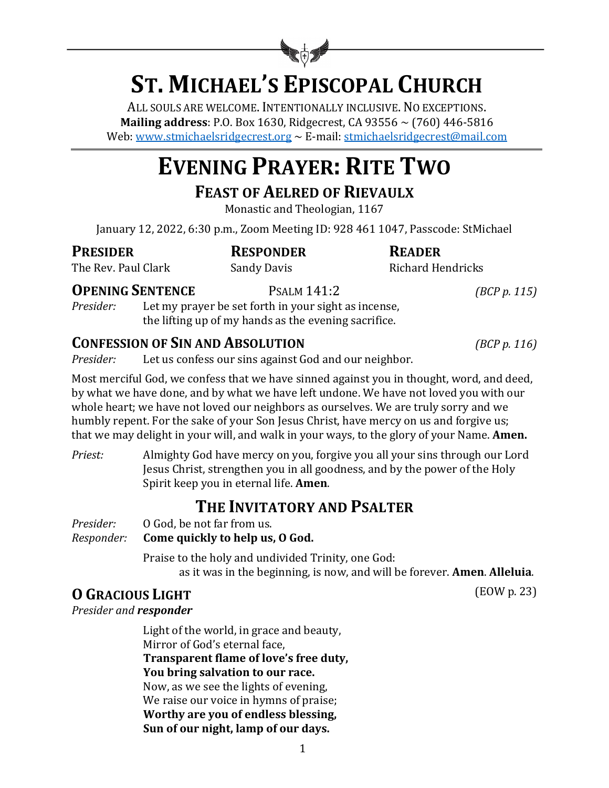

# **ST. MICHAEL'S EPISCOPAL CHURCH**

ALL SOULS ARE WELCOME. INTENTIONALLY INCLUSIVE. NO EXCEPTIONS. **Mailing address**: P.O. Box 1630, Ridgecrest, CA 93556  $\sim$  (760) 446-5816 Web: www.stmichaelsridgecrest.org  $\sim$  E-mail: stmichaelsridgecrest@mail.com

# **EVENING PRAYER: RITE TWO**

## **FEAST OF AELRED OF RIEVAULX**

Monastic and Theologian, 1167

January 12, 2022, 6:30 p.m., Zoom Meeting ID: 928 461 1047, Passcode: StMichael

**PRESIDER RESPONDER READER**

The Rev. Paul Clark Sandy Davis Sandy Davis Richard Hendricks

### **OPENING SENTENCE** PSALM 141:2 *(BCP p. 115)*

*Presider:* Let my prayer be set forth in your sight as incense, the lifting up of my hands as the evening sacrifice.

## **CONFESSION OF SIN AND ABSOLUTION** *(BCP p. 116)*

*Presider:* Let us confess our sins against God and our neighbor.

Most merciful God, we confess that we have sinned against you in thought, word, and deed, by what we have done, and by what we have left undone. We have not loved you with our whole heart; we have not loved our neighbors as ourselves. We are truly sorry and we humbly repent. For the sake of your Son Jesus Christ, have mercy on us and forgive us; that we may delight in your will, and walk in your ways, to the glory of your Name. **Amen.** 

*Priest:* Almighty God have mercy on you, forgive you all your sins through our Lord Jesus Christ, strengthen you in all goodness, and by the power of the Holy Spirit keep you in eternal life. **Amen**.

## **THE INVITATORY AND PSALTER**

*Presider:* 0 God, be not far from us.

### *Responder:* **Come quickly to help us, O God.**

Praise to the holy and undivided Trinity, one God: as it was in the beginning, is now, and will be forever. **Amen. Alleluia**.

## **O GRACIOUS** LIGHT (EOW p. 23)

*Presider and responder*

Light of the world, in grace and beauty, Mirror of God's eternal face, **Transparent flame of love's free duty, You bring salvation to our race.** Now, as we see the lights of evening, We raise our voice in hymns of praise; **Worthy are you of endless blessing, Sun of our night, lamp of our days.**

1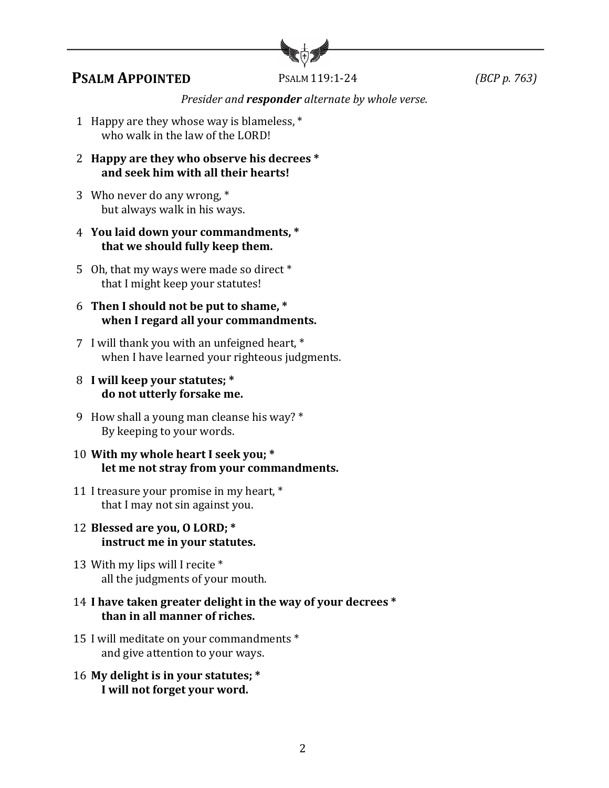

## **PSALM APPOINTED** PSALM 119:1-24 *(BCP p. 763)*

#### *Presider and responder alternate by whole verse.*

- 1 Happy are they whose way is blameless,  $*$ who walk in the law of the LORD!
- 2 Happy are they who observe his decrees \* and seek him with all their hearts!
- 3 Who never do any wrong,  $*$ but always walk in his ways.
- 4 You laid down your commandments, \* that we should fully keep them.
- 5 Oh, that my ways were made so direct  $*$ that I might keep your statutes!
- 6 Then I should not be put to shame, \* **when I regard all your commandments.**
- 7 I will thank you with an unfeigned heart, \* when I have learned your righteous judgments.

#### 8 I will keep your statutes; \* do not utterly forsake me.

9 How shall a young man cleanse his way?  $*$ By keeping to your words.

#### 10 With my whole heart I seek you; \* let me not stray from your commandments.

11 I treasure your promise in my heart, \* that I may not sin against you.

#### 12 **Blessed are you, O LORD;** \* **instruct me in your statutes.**

13 With my lips will I recite  $*$ all the judgments of your mouth.

#### 14 I have taken greater delight in the way of your decrees \* **than in all manner of riches.**

- 15 I will meditate on your commandments \* and give attention to your ways.
- 16 My delight is in your statutes; \* **I** will not forget your word.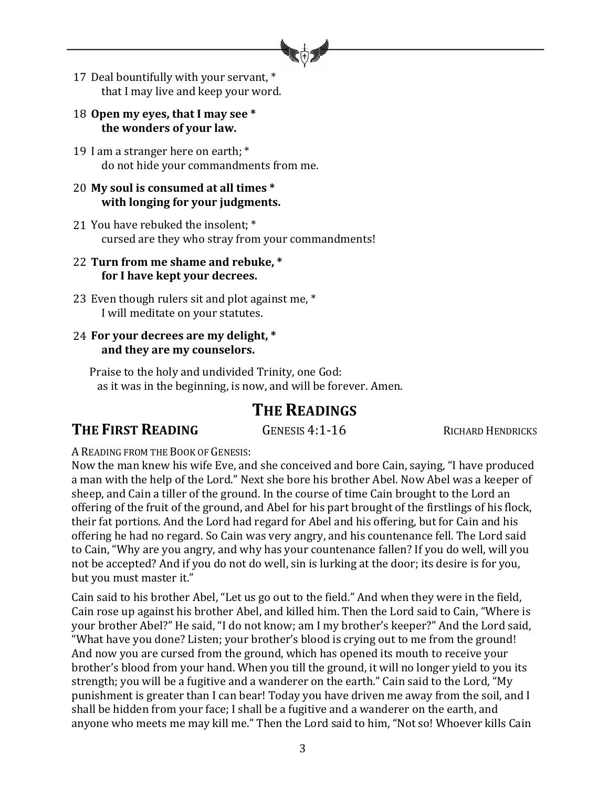17 Deal bountifully with your servant, \* that I may live and keep your word.

#### 18 Open my eyes, that I may see \* the wonders of your law.

19 I am a stranger here on earth;  $*$ do not hide your commandments from me.

#### 20 My soul is consumed at all times \* **with longing for your judgments.**

21 You have rebuked the insolent; \* cursed are they who stray from your commandments!

#### 22 Turn from me shame and rebuke, \* for I have kept your decrees.

23 Even though rulers sit and plot against me,  $*$ I will meditate on your statutes.

#### 24 For your decrees are my delight, \* and they are my counselors.

Praise to the holy and undivided Trinity, one God: as it was in the beginning, is now, and will be forever. Amen.

## **THE READINGS**

## **THE FIRST READING GENESIS 4:1-16** RICHARD HENDRICKS

### A READING FROM THE BOOK OF GENESIS:

Now the man knew his wife Eve, and she conceived and bore Cain, saying, "I have produced a man with the help of the Lord." Next she bore his brother Abel. Now Abel was a keeper of sheep, and Cain a tiller of the ground. In the course of time Cain brought to the Lord an offering of the fruit of the ground, and Abel for his part brought of the firstlings of his flock, their fat portions. And the Lord had regard for Abel and his offering, but for Cain and his offering he had no regard. So Cain was very angry, and his countenance fell. The Lord said to Cain, "Why are you angry, and why has your countenance fallen? If you do well, will you not be accepted? And if you do not do well, sin is lurking at the door; its desire is for you, but you must master it."

Cain said to his brother Abel, "Let us go out to the field." And when they were in the field, Cain rose up against his brother Abel, and killed him. Then the Lord said to Cain, "Where is your brother Abel?" He said, "I do not know; am I my brother's keeper?" And the Lord said, "What have you done? Listen; your brother's blood is crying out to me from the ground! And now you are cursed from the ground, which has opened its mouth to receive your brother's blood from your hand. When you till the ground, it will no longer yield to you its strength; you will be a fugitive and a wanderer on the earth." Cain said to the Lord, "My punishment is greater than I can bear! Today you have driven me away from the soil, and I shall be hidden from your face; I shall be a fugitive and a wanderer on the earth, and anyone who meets me may kill me." Then the Lord said to him, "Not so! Whoever kills Cain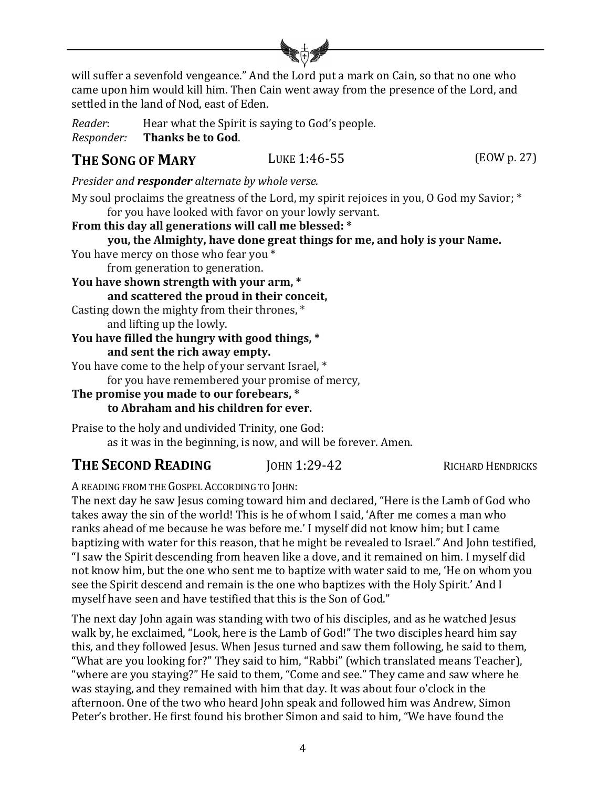will suffer a sevenfold vengeance." And the Lord put a mark on Cain, so that no one who came upon him would kill him. Then Cain went away from the presence of the Lord, and settled in the land of Nod, east of Eden.

*Reader*: Hear what the Spirit is saying to God's people. *Responder:* **Thanks be to God.** 

### **THE SONG OF MARY** LUKE 1:46-55 (EOW p. 27)

*Presider and responder alternate by whole verse.* 

My soul proclaims the greatness of the Lord, my spirit rejoices in you, O God my Savior;  $*$ for you have looked with favor on your lowly servant.

**From this day all generations will call me blessed: \* you, the Almighty, have done great things for me, and holy is your Name.** You have mercy on those who fear you \*

from generation to generation.

### You have shown strength with your arm,  $*$

**and scattered the proud in their conceit,**

Casting down the mighty from their thrones,  $*$ 

and lifting up the lowly.

#### You have filled the hungry with good things,  $*$ **and sent the rich away empty.**

You have come to the help of your servant Israel, \* for you have remembered your promise of mercy,

#### **The promise you made to our forebears, \* to Abraham and his children for ever.**

Praise to the holy and undivided Trinity, one God: as it was in the beginning, is now, and will be forever. Amen.

## **THE SECOND READING JOHN 1:29-42** RICHARD HENDRICKS

A READING FROM THE GOSPEL ACCORDING TO JOHN:

The next day he saw Jesus coming toward him and declared, "Here is the Lamb of God who takes away the sin of the world! This is he of whom I said, 'After me comes a man who ranks ahead of me because he was before me.' I myself did not know him; but I came baptizing with water for this reason, that he might be revealed to Israel." And John testified, "I saw the Spirit descending from heaven like a dove, and it remained on him. I myself did not know him, but the one who sent me to baptize with water said to me, 'He on whom you see the Spirit descend and remain is the one who baptizes with the Holy Spirit.' And I myself have seen and have testified that this is the Son of God."

The next day John again was standing with two of his disciples, and as he watched Jesus walk by, he exclaimed, "Look, here is the Lamb of God!" The two disciples heard him say this, and they followed Jesus. When Jesus turned and saw them following, he said to them, "What are you looking for?" They said to him, "Rabbi" (which translated means Teacher), "where are you staying?" He said to them, "Come and see." They came and saw where he was staying, and they remained with him that day. It was about four o'clock in the afternoon. One of the two who heard John speak and followed him was Andrew, Simon Peter's brother. He first found his brother Simon and said to him, "We have found the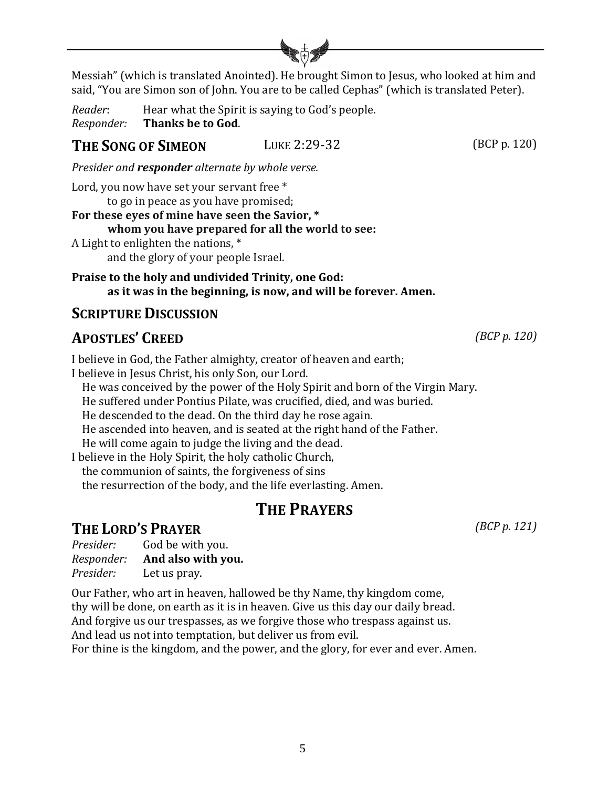Messiah" (which is translated Anointed). He brought Simon to Jesus, who looked at him and said, "You are Simon son of John. You are to be called Cephas" (which is translated Peter).

*Reader*: Hear what the Spirit is saying to God's people. *Responder:* **Thanks be to God**.

**THE SONG OF SIMEON** LUKE 2:29-32 (BCP p. 120)

*Presider and responder alternate by whole verse.* 

Lord, you now have set your servant free \* to go in peace as you have promised; For these eves of mine have seen the Savior, \* **whom you have prepared for all the world to see:** A Light to enlighten the nations,  $*$ and the glory of your people Israel.

**Praise to the holy and undivided Trinity, one God:** as it was in the beginning, is now, and will be forever. Amen.

## **SCRIPTURE DISCUSSION**

## **APOSTLES' CREED** *(BCP p. 120)*

I believe in God, the Father almighty, creator of heaven and earth; I believe in Jesus Christ, his only Son, our Lord.

He was conceived by the power of the Holy Spirit and born of the Virgin Mary.

He suffered under Pontius Pilate, was crucified, died, and was buried.

He descended to the dead. On the third day he rose again.

He ascended into heaven, and is seated at the right hand of the Father.

He will come again to judge the living and the dead.

I believe in the Holy Spirit, the holy catholic Church,

the communion of saints, the forgiveness of sins the resurrection of the body, and the life everlasting. Amen.

**THE PRAYERS**

## **THE LORD'S PRAYER** *(BCP p. 121)*

*Presider:* God be with you. *Responder:* **And also with you.** *Presider:* Let us pray.

Our Father, who art in heaven, hallowed be thy Name, thy kingdom come, thy will be done, on earth as it is in heaven. Give us this day our daily bread. And forgive us our trespasses, as we forgive those who trespass against us. And lead us not into temptation, but deliver us from evil.

For thine is the kingdom, and the power, and the glory, for ever and ever. Amen.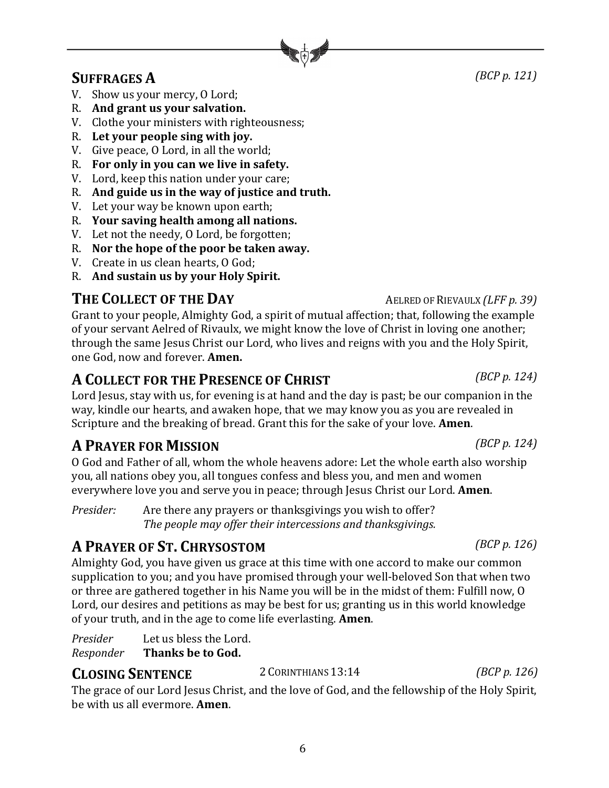## **SUFFRAGES A** *(BCP p. 121)*

- V. Show us your mercy, O Lord;
- R. **And grant us your salvation.**
- V. Clothe your ministers with righteousness;
- R. **Let your people sing with joy.**
- V. Give peace, O Lord, in all the world;
- R. For only in you can we live in safety.
- V. Lord, keep this nation under your care;
- R. And guide us in the way of justice and truth.
- V. Let your way be known upon earth;
- R. **Your saving health among all nations.**
- V. Let not the needy, O Lord, be forgotten;
- R. Nor the hope of the poor be taken away.
- V. Create in us clean hearts, O God;
- R. And sustain us by your Holy Spirit.

## **THE COLLECT OF THE DAY** AELRED OF RIEVAULX *(LFF p. 39)*

Grant to your people, Almighty God, a spirit of mutual affection; that, following the example of your servant Aelred of Rivaulx, we might know the love of Christ in loving one another; through the same Jesus Christ our Lord, who lives and reigns with you and the Holy Spirit, one God, now and forever. **Amen.** 

## **A COLLECT FOR THE PRESENCE OF CHRIST** *(BCP p. 124)*

Lord Jesus, stay with us, for evening is at hand and the day is past; be our companion in the way, kindle our hearts, and awaken hope, that we may know you as you are revealed in Scripture and the breaking of bread. Grant this for the sake of your love. **Amen**.

## **A PRAYER FOR MISSION** *(BCP p. 124)*

O God and Father of all, whom the whole heavens adore: Let the whole earth also worship you, all nations obey you, all tongues confess and bless you, and men and women everywhere love you and serve you in peace; through Jesus Christ our Lord. Amen.

*Presider:* Are there any prayers or thanksgivings you wish to offer? *The people may offer their intercessions and thanksgivings.* 

## **A PRAYER OF ST. CHRYSOSTOM** *(BCP p. 126)*

Almighty God, you have given us grace at this time with one accord to make our common supplication to you; and you have promised through your well-beloved Son that when two or three are gathered together in his Name you will be in the midst of them: Fulfill now, O Lord, our desires and petitions as may be best for us; granting us in this world knowledge of your truth, and in the age to come life everlasting. **Amen**.

*Presider* Let us bless the Lord.

**Responder Thanks be to God.** 

**CLOSING SENTENCE** 2 CORINTHIANS 13:14 *(BCP p. 126)* 

The grace of our Lord Jesus Christ, and the love of God, and the fellowship of the Holy Spirit, be with us all evermore. **Amen**.